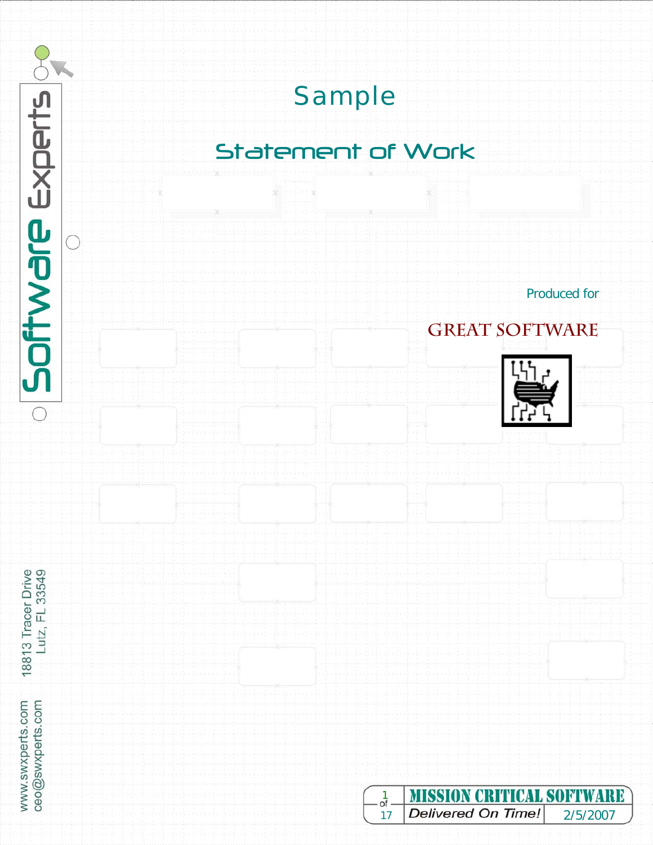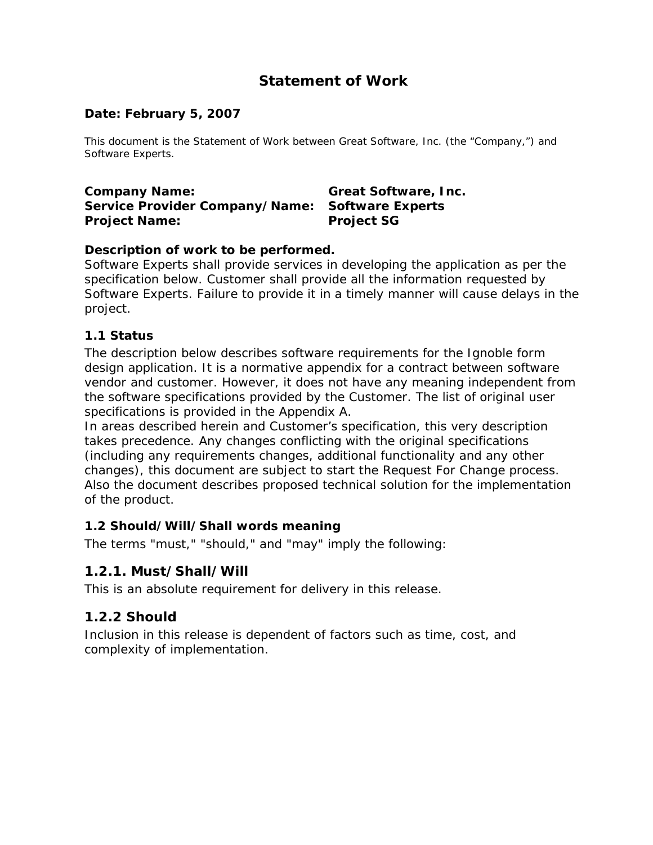# **Statement of Work**

#### *Date: February 5, 2007*

This document is the Statement of Work between Great Software, Inc. (the "Company,") and Software Experts.

**Company Name: Great Software, Inc. Service Provider Company/Name: Software Experts Project Name:** Project SG

#### **Description of work to be performed.**

Software Experts shall provide services in developing the application as per the specification below. Customer shall provide all the information requested by Software Experts. Failure to provide it in a timely manner will cause delays in the project.

#### *1.1 Status*

The description below describes software requirements for the Ignoble form design application. It is a normative appendix for a contract between software vendor and customer. However, it does not have any meaning independent from the software specifications provided by the Customer. The list of original user specifications is provided in the Appendix A.

In areas described herein and Customer's specification, this very description takes precedence. Any changes conflicting with the original specifications (including any requirements changes, additional functionality and any other changes), this document are subject to start the Request For Change process. Also the document describes proposed technical solution for the implementation of the product.

#### *1.2 Should/Will/Shall words meaning*

The terms "must," "should," and "may" imply the following:

#### **1.2.1. Must/Shall/Will**

This is an absolute requirement for delivery in this release.

#### **1.2.2 Should**

Inclusion in this release is dependent of factors such as time, cost, and complexity of implementation.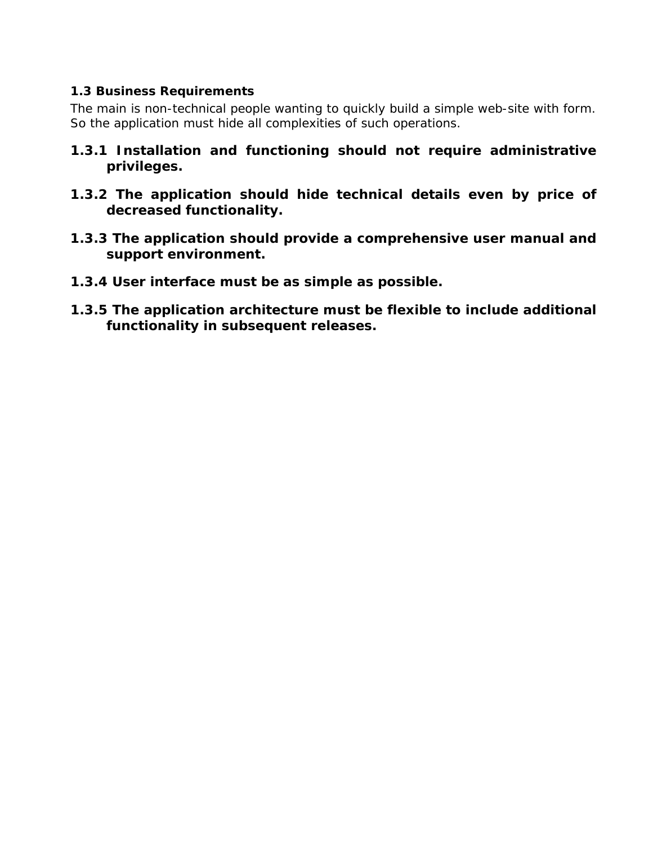#### *1.3 Business Requirements*

The main is non-technical people wanting to quickly build a simple web-site with form. So the application must hide all complexities of such operations.

- **1.3.1 Installation and functioning should not require administrative privileges.**
- **1.3.2 The application should hide technical details even by price of decreased functionality.**
- **1.3.3 The application should provide a comprehensive user manual and support environment.**
- **1.3.4 User interface must be as simple as possible.**
- **1.3.5 The application architecture must be flexible to include additional functionality in subsequent releases.**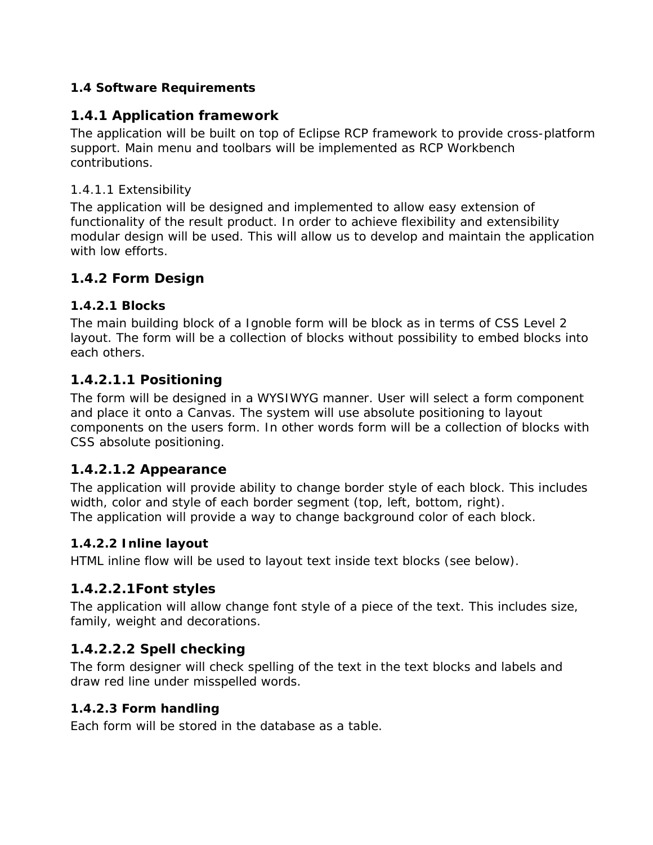## *1.4 Software Requirements*

## **1.4.1 Application framework**

The application will be built on top of Eclipse RCP framework to provide cross-platform support. Main menu and toolbars will be implemented as RCP Workbench contributions.

### *1.4.1.1 Extensibility*

The application will be designed and implemented to allow easy extension of functionality of the result product. In order to achieve flexibility and extensibility modular design will be used. This will allow us to develop and maintain the application with low efforts.

## **1.4.2 Form Design**

### *1.4.2.1 Blocks*

The main building block of a Ignoble form will be block as in terms of CSS Level 2 layout. The form will be a collection of blocks without possibility to embed blocks into each others.

## *1.4.2.1.1 Positioning*

The form will be designed in a WYSIWYG manner. User will select a form component and place it onto a Canvas. The system will use absolute positioning to layout components on the users form. In other words form will be a collection of blocks with CSS absolute positioning.

## *1.4.2.1.2 Appearance*

The application will provide ability to change border style of each block. This includes width, color and style of each border segment (top, left, bottom, right). The application will provide a way to change background color of each block.

## *1.4.2.2 Inline layout*

HTML inline flow will be used to layout text inside text blocks (see below).

## *1.4.2.2.1Font styles*

The application will allow change font style of a piece of the text. This includes size, family, weight and decorations.

## *1.4.2.2.2 Spell checking*

The form designer will check spelling of the text in the text blocks and labels and draw red line under misspelled words.

### *1.4.2.3 Form handling*

Each form will be stored in the database as a table.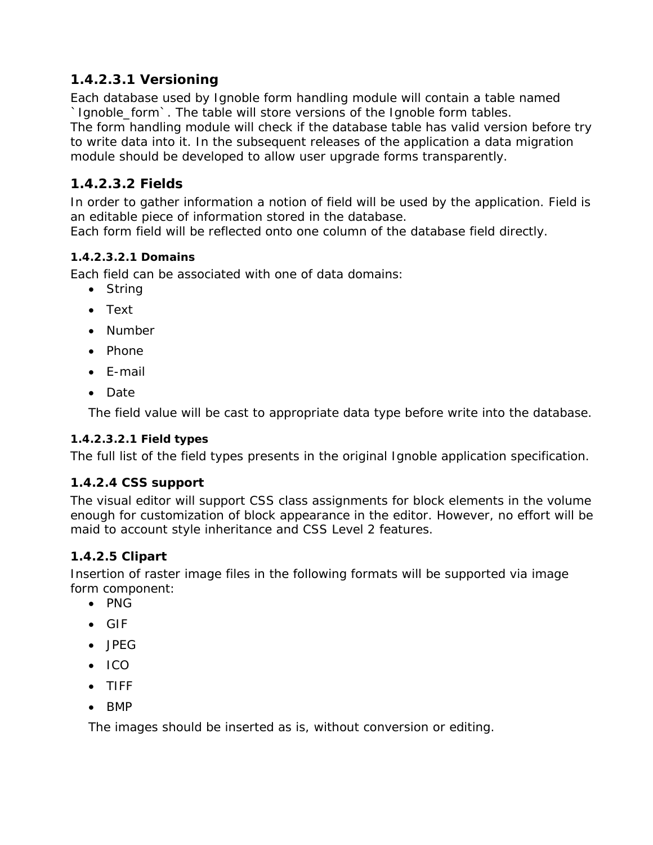## *1.4.2.3.1 Versioning*

Each database used by Ignoble form handling module will contain a table named `Ignoble\_form`. The table will store versions of the Ignoble form tables. The form handling module will check if the database table has valid version before try to write data into it. In the subsequent releases of the application a data migration module should be developed to allow user upgrade forms transparently.

# *1.4.2.3.2 Fields*

In order to gather information a notion of field will be used by the application. Field is an editable piece of information stored in the database.

Each form field will be reflected onto one column of the database field directly.

## **1.4.2.3.2.1 Domains**

Each field can be associated with one of data domains:

- String
- Text
- Number
- Phone
- E-mail
- Date

The field value will be cast to appropriate data type before write into the database.

#### **1.4.2.3.2.1 Field types**

The full list of the field types presents in the original Ignoble application specification.

### *1.4.2.4 CSS support*

The visual editor will support CSS class assignments for block elements in the volume enough for customization of block appearance in the editor. However, no effort will be maid to account style inheritance and CSS Level 2 features.

### *1.4.2.5 Clipart*

Insertion of raster image files in the following formats will be supported via image form component:

- PNG
- GIF
- JPEG
- ICO
- TIFF
- BMP

The images should be inserted as is, without conversion or editing.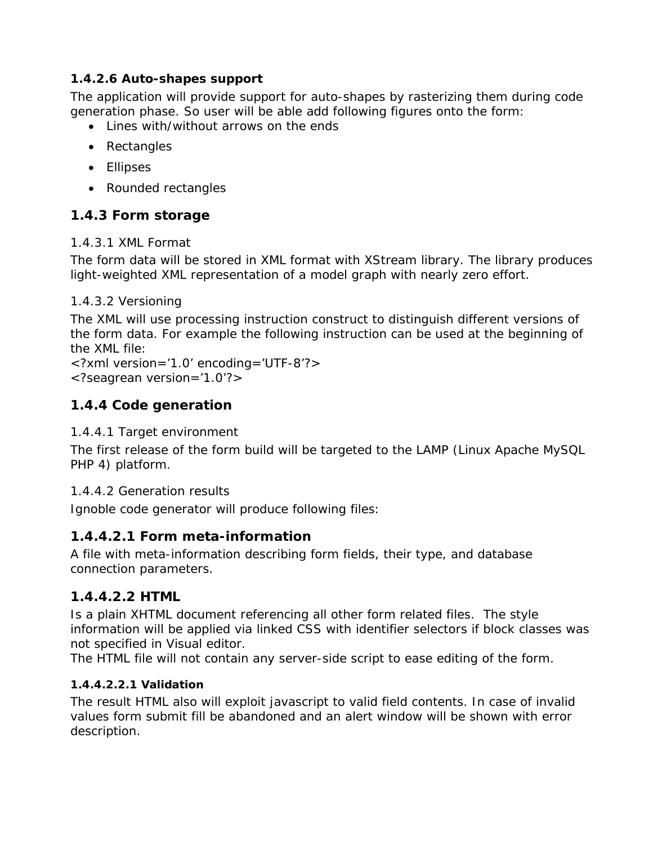## *1.4.2.6 Auto-shapes support*

The application will provide support for auto-shapes by rasterizing them during code generation phase. So user will be able add following figures onto the form:

- Lines with/without arrows on the ends
- Rectangles
- Ellipses
- Rounded rectangles

# **1.4.3 Form storage**

### *1.4.3.1 XML Format*

The form data will be stored in XML format with XStream library. The library produces light-weighted XML representation of a model graph with nearly zero effort.

## *1.4.3.2 Versioning*

The XML will use processing instruction construct to distinguish different versions of the form data. For example the following instruction can be used at the beginning of the XML file:

<?xml version='1.0' encoding='UTF-8'?> <?seagrean version='1.0'?>

# **1.4.4 Code generation**

### *1.4.4.1 Target environment*

The first release of the form build will be targeted to the LAMP (Linux Apache MySQL PHP 4) platform.

### *1.4.4.2 Generation results*

Ignoble code generator will produce following files:

# *1.4.4.2.1 Form meta-information*

A file with meta-information describing form fields, their type, and database connection parameters.

## *1.4.4.2.2 HTML*

Is a plain XHTML document referencing all other form related files. The style information will be applied via linked CSS with identifier selectors if block classes was not specified in Visual editor.

The HTML file will not contain any server-side script to ease editing of the form.

## **1.4.4.2.2.1 Validation**

The result HTML also will exploit javascript to valid field contents. In case of invalid values form submit fill be abandoned and an alert window will be shown with error description.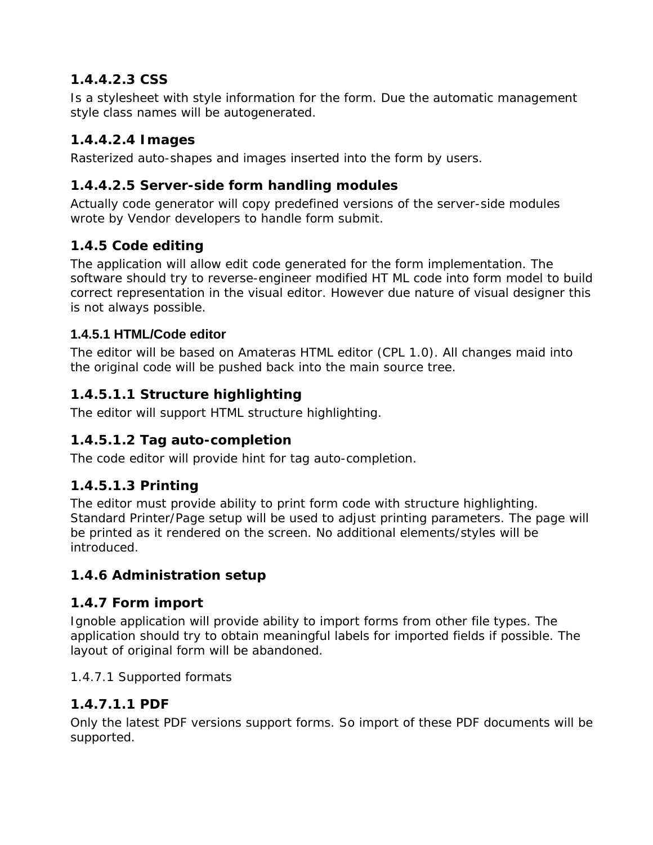# *1.4.4.2.3 CSS*

Is a stylesheet with style information for the form. Due the automatic management style class names will be autogenerated.

# *1.4.4.2.4 Images*

Rasterized auto-shapes and images inserted into the form by users.

## *1.4.4.2.5 Server-side form handling modules*

Actually code generator will copy predefined versions of the server-side modules wrote by Vendor developers to handle form submit.

## **1.4.5 Code editing**

The application will allow edit code generated for the form implementation. The software should try to reverse-engineer modified HT ML code into form model to build correct representation in the visual editor. However due nature of visual designer this is not always possible.

## **1.4.5.1 HTML/Code editor**

The editor will be based on Amateras HTML editor (CPL 1.0). All changes maid into the original code will be pushed back into the main source tree.

## *1.4.5.1.1 Structure highlighting*

The editor will support HTML structure highlighting.

## *1.4.5.1.2 Tag auto-completion*

The code editor will provide hint for tag auto-completion.

## *1.4.5.1.3 Printing*

The editor must provide ability to print form code with structure highlighting. Standard Printer/Page setup will be used to adjust printing parameters. The page will be printed as it rendered on the screen. No additional elements/styles will be introduced.

## **1.4.6 Administration setup**

## **1.4.7 Form import**

Ignoble application will provide ability to import forms from other file types. The application should try to obtain meaningful labels for imported fields if possible. The layout of original form will be abandoned.

### *1.4.7.1 Supported formats*

## *1.4.7.1.1 PDF*

Only the latest PDF versions support forms. So import of these PDF documents will be supported.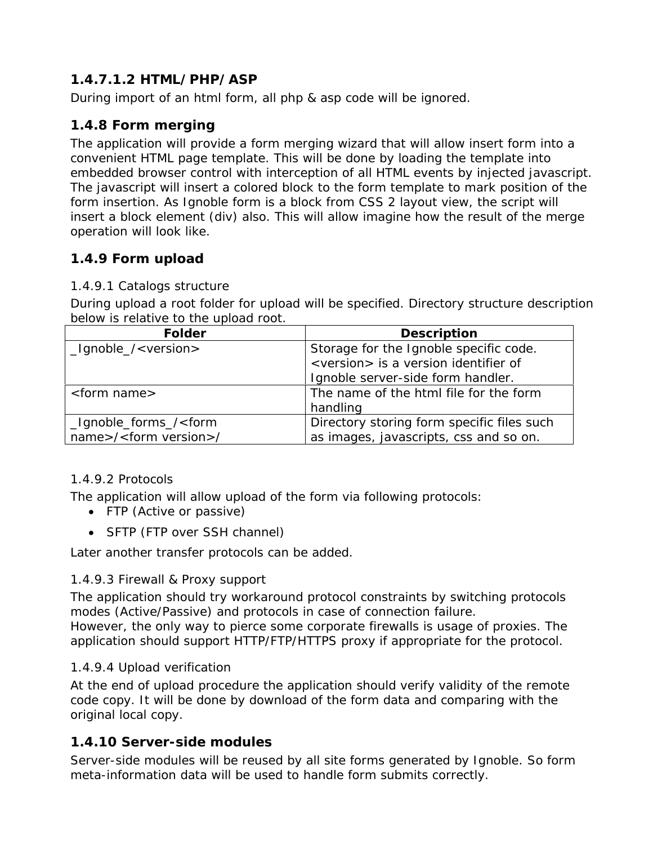# *1.4.7.1.2 HTML/PHP/ASP*

During import of an html form, all php & asp code will be ignored.

## **1.4.8 Form merging**

The application will provide a form merging wizard that will allow insert form into a convenient HTML page template. This will be done by loading the template into embedded browser control with interception of all HTML events by injected javascript. The javascript will insert a colored block to the form template to mark position of the form insertion. As Ignoble form is a block from CSS 2 layout view, the script will insert a block element (div) also. This will allow imagine how the result of the merge operation will look like.

## **1.4.9 Form upload**

#### *1.4.9.1 Catalogs structure*

During upload a root folder for upload will be specified. Directory structure description below is relative to the upload root.

| <b>Folder</b>                                                                             | <b>Description</b>                                                                       |
|-------------------------------------------------------------------------------------------|------------------------------------------------------------------------------------------|
| _Ignoble_/ <version></version>                                                            | Storage for the Ignoble specific code.<br><version> is a version identifier of</version> |
|                                                                                           |                                                                                          |
|                                                                                           | Ignoble server-side form handler.                                                        |
| <form name=""></form>                                                                     | The name of the html file for the form                                                   |
|                                                                                           | handling                                                                                 |
| _Ignoble_forms_/ <form< td=""><td>Directory storing form specific files such</td></form<> | Directory storing form specific files such                                               |
| name>/ <form version="">/</form>                                                          | as images, javascripts, css and so on.                                                   |

### *1.4.9.2 Protocols*

The application will allow upload of the form via following protocols:

- FTP (Active or passive)
- SFTP (FTP over SSH channel)

Later another transfer protocols can be added.

### *1.4.9.3 Firewall & Proxy support*

The application should try workaround protocol constraints by switching protocols modes (Active/Passive) and protocols in case of connection failure. However, the only way to pierce some corporate firewalls is usage of proxies. The application should support HTTP/FTP/HTTPS proxy if appropriate for the protocol.

### *1.4.9.4 Upload verification*

At the end of upload procedure the application should verify validity of the remote code copy. It will be done by download of the form data and comparing with the original local copy.

## **1.4.10 Server-side modules**

Server-side modules will be reused by all site forms generated by Ignoble. So form meta-information data will be used to handle form submits correctly.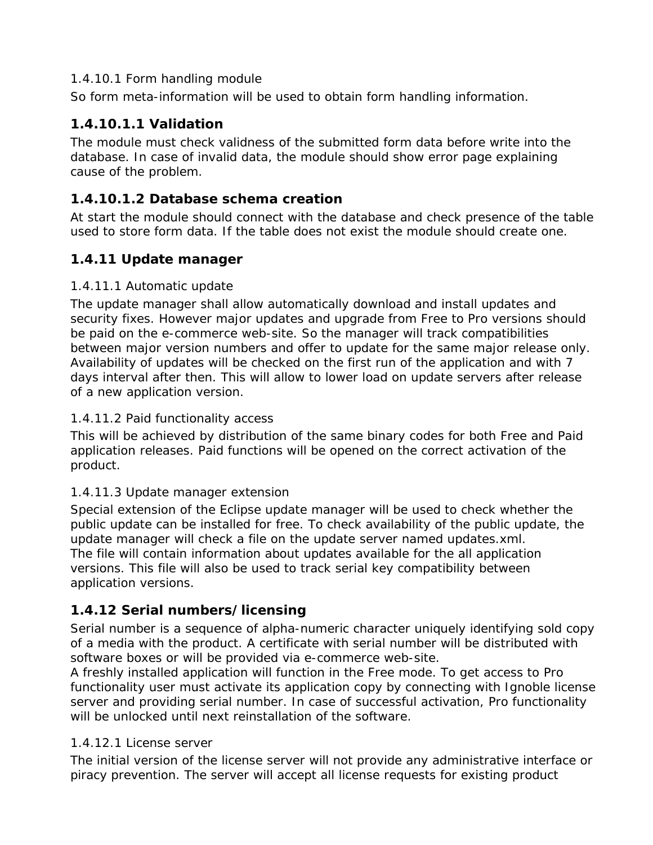#### *1.4.10.1 Form handling module*

So form meta-information will be used to obtain form handling information.

## *1.4.10.1.1 Validation*

The module must check validness of the submitted form data before write into the database. In case of invalid data, the module should show error page explaining cause of the problem.

## *1.4.10.1.2 Database schema creation*

At start the module should connect with the database and check presence of the table used to store form data. If the table does not exist the module should create one.

# **1.4.11 Update manager**

## *1.4.11.1 Automatic update*

The update manager shall allow automatically download and install updates and security fixes. However major updates and upgrade from Free to Pro versions should be paid on the e-commerce web-site. So the manager will track compatibilities between major version numbers and offer to update for the same major release only. Availability of updates will be checked on the first run of the application and with 7 days interval after then. This will allow to lower load on update servers after release of a new application version.

## *1.4.11.2 Paid functionality access*

This will be achieved by distribution of the same binary codes for both Free and Paid application releases. Paid functions will be opened on the correct activation of the product.

### *1.4.11.3 Update manager extension*

Special extension of the Eclipse update manager will be used to check whether the public update can be installed for free. To check availability of the public update, the update manager will check a file on the update server named updates.xml. The file will contain information about updates available for the all application versions. This file will also be used to track serial key compatibility between application versions.

# **1.4.12 Serial numbers/licensing**

Serial number is a sequence of alpha-numeric character uniquely identifying sold copy of a media with the product. A certificate with serial number will be distributed with software boxes or will be provided via e-commerce web-site.

A freshly installed application will function in the Free mode. To get access to Pro functionality user must activate its application copy by connecting with Ignoble license server and providing serial number. In case of successful activation, Pro functionality will be unlocked until next reinstallation of the software.

## *1.4.12.1 License server*

The initial version of the license server will not provide any administrative interface or piracy prevention. The server will accept all license requests for existing product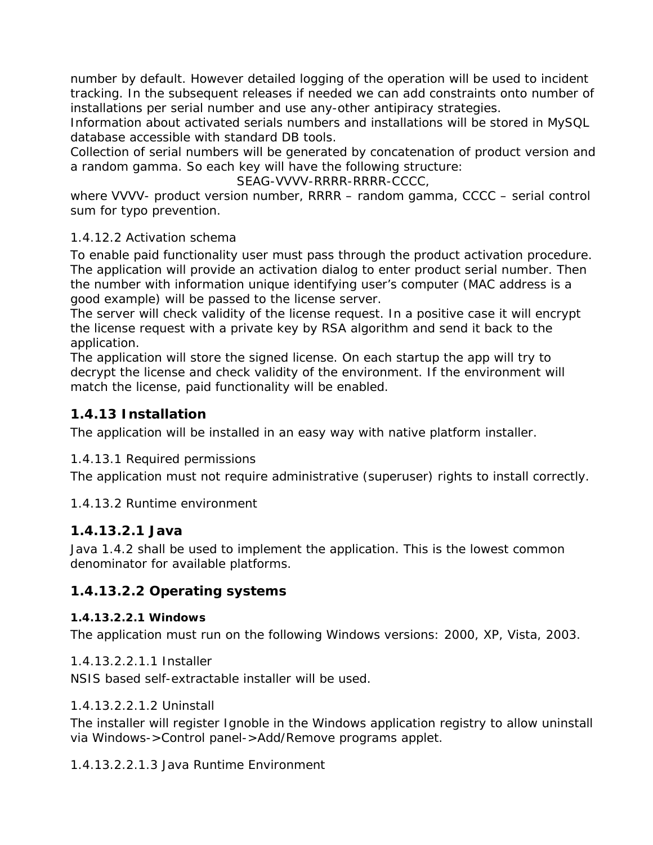number by default. However detailed logging of the operation will be used to incident tracking. In the subsequent releases if needed we can add constraints onto number of installations per serial number and use any-other antipiracy strategies.

Information about activated serials numbers and installations will be stored in MySQL database accessible with standard DB tools.

Collection of serial numbers will be generated by concatenation of product version and a random gamma. So each key will have the following structure:

SEAG-VVVV-RRRR-RRRR-CCCC,

where VVVV- product version number, RRRR – random gamma, CCCC – serial control sum for typo prevention.

### *1.4.12.2 Activation schema*

To enable paid functionality user must pass through the product activation procedure. The application will provide an activation dialog to enter product serial number. Then the number with information unique identifying user's computer (MAC address is a good example) will be passed to the license server.

The server will check validity of the license request. In a positive case it will encrypt the license request with a private key by RSA algorithm and send it back to the application.

The application will store the signed license. On each startup the app will try to decrypt the license and check validity of the environment. If the environment will match the license, paid functionality will be enabled.

## **1.4.13 Installation**

The application will be installed in an easy way with native platform installer.

### *1.4.13.1 Required permissions*

The application must not require administrative (superuser) rights to install correctly.

### *1.4.13.2 Runtime environment*

### *1.4.13.2.1 Java*

Java 1.4.2 shall be used to implement the application. This is the lowest common denominator for available platforms.

## *1.4.13.2.2 Operating systems*

#### **1.4.13.2.2.1 Windows**

The application must run on the following Windows versions: 2000, XP, Vista, 2003.

#### 1.4.13.2.2.1.1 Installer

NSIS based self-extractable installer will be used.

#### 1.4.13.2.2.1.2 Uninstall

The installer will register Ignoble in the Windows application registry to allow uninstall via Windows->Control panel->Add/Remove programs applet.

1.4.13.2.2.1.3 Java Runtime Environment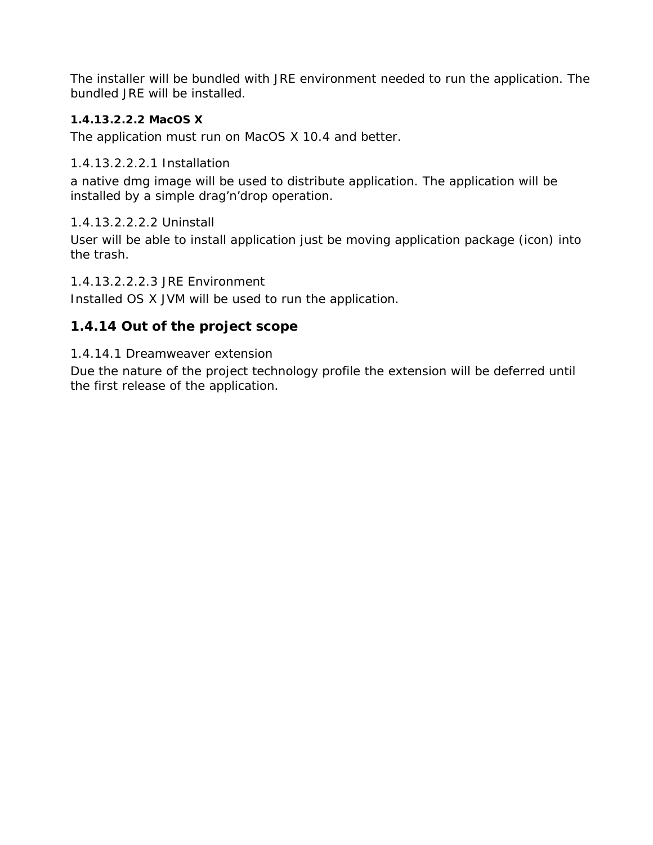The installer will be bundled with JRE environment needed to run the application. The bundled JRE will be installed.

#### **1.4.13.2.2.2 MacOS X**

The application must run on MacOS X 10.4 and better.

#### 1.4.13.2.2.2.1 Installation

a native dmg image will be used to distribute application. The application will be installed by a simple drag'n'drop operation.

#### 1.4.13.2.2.2.2 Uninstall

User will be able to install application just be moving application package (icon) into the trash.

#### 1.4.13.2.2.2.3 JRE Environment

Installed OS X JVM will be used to run the application.

## **1.4.14 Out of the project scope**

#### *1.4.14.1 Dreamweaver extension*

Due the nature of the project technology profile the extension will be deferred until the first release of the application.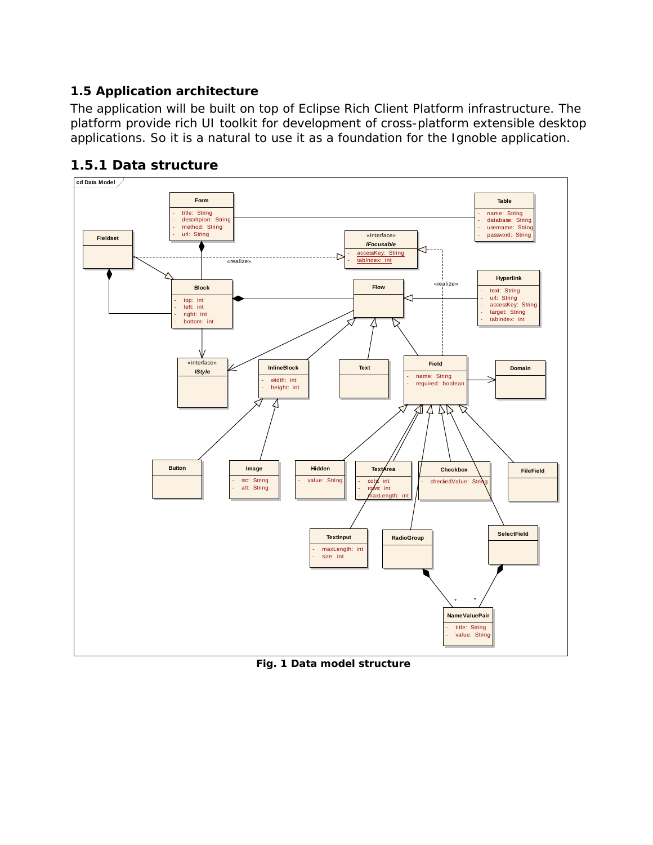## *1.5 Application architecture*

The application will be built on top of Eclipse Rich Client Platform infrastructure. The platform provide rich UI toolkit for development of cross-platform extensible desktop applications. So it is a natural to use it as a foundation for the Ignoble application.



## **1.5.1 Data structure**

**Fig. 1 Data model structure**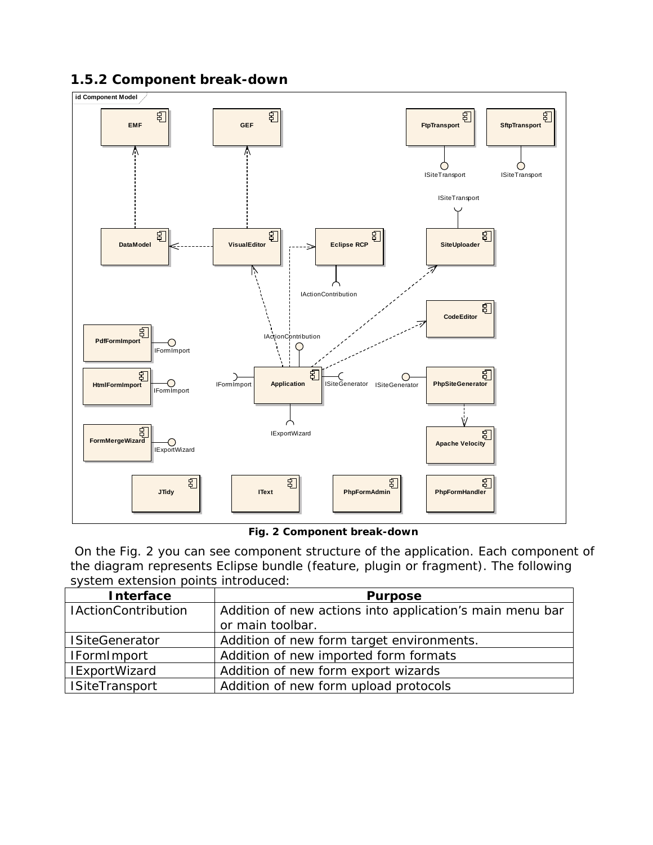## **1.5.2 Component break-down**



#### **Fig. 2 Component break-down**

 On the Fig. 2 you can see component structure of the application. Each component of the diagram represents Eclipse bundle (feature, plugin or fragment). The following system extension points introduced:

| <b>Interface</b>           | <b>Purpose</b>                                           |
|----------------------------|----------------------------------------------------------|
| <b>IActionContribution</b> | Addition of new actions into application's main menu bar |
|                            | or main toolbar.                                         |
| <b>ISiteGenerator</b>      | Addition of new form target environments.                |
| <b>IFormImport</b>         | Addition of new imported form formats                    |
| <b>IExportWizard</b>       | Addition of new form export wizards                      |
| <b>ISiteTransport</b>      | Addition of new form upload protocols                    |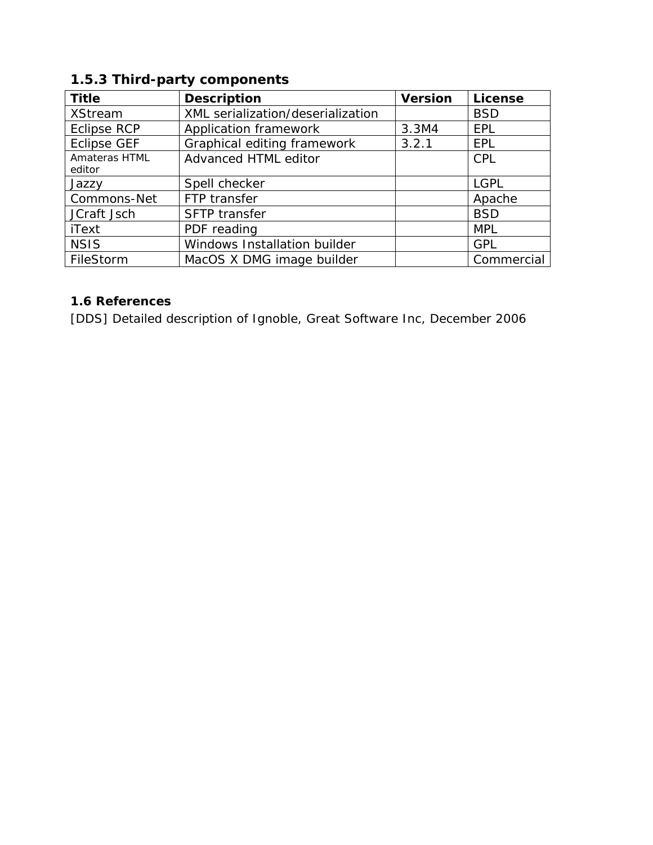| <b>Title</b>            | <b>Description</b>                | <b>Version</b> | <b>License</b> |
|-------------------------|-----------------------------------|----------------|----------------|
| <b>XStream</b>          | XML serialization/deserialization |                | <b>BSD</b>     |
| <b>Eclipse RCP</b>      | Application framework             | 3.3M4          | EPL            |
| <b>Eclipse GEF</b>      | Graphical editing framework       | 3.2.1          | <b>EPL</b>     |
| Amateras HTML<br>editor | Advanced HTML editor              |                | <b>CPL</b>     |
| Jazzy                   | Spell checker                     |                | <b>LGPL</b>    |
| Commons-Net             | FTP transfer                      |                | Apache         |
| JCraft Jsch             | SFTP transfer                     |                | <b>BSD</b>     |
| iText                   | PDF reading                       |                | <b>MPL</b>     |
| <b>NSIS</b>             | Windows Installation builder      |                | <b>GPL</b>     |
| FileStorm               | MacOS X DMG image builder         |                | Commercial     |

# **1.5.3 Third-party components**

# *1.6 References*

[DDS] Detailed description of Ignoble, Great Software Inc, December 2006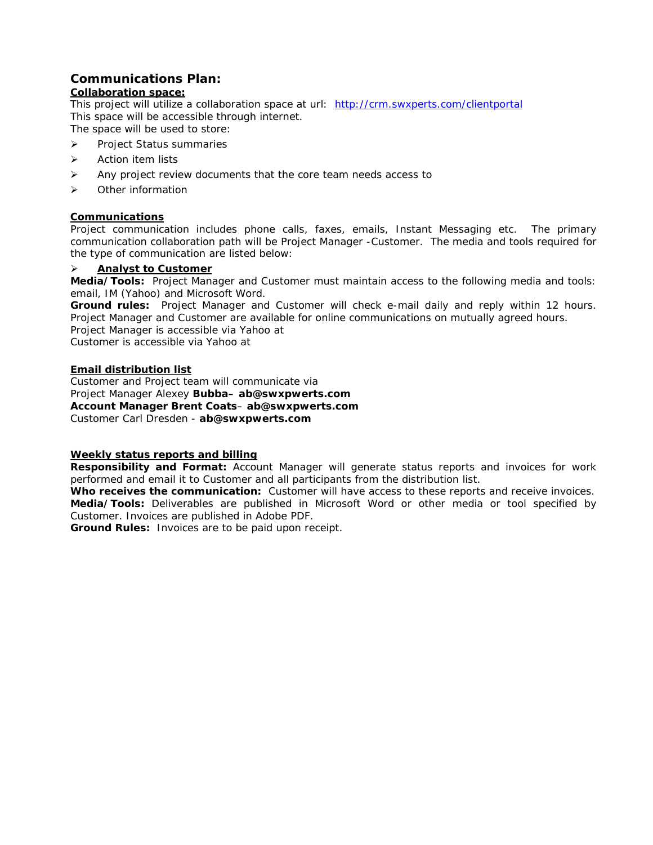#### **Communications Plan:**

#### *Collaboration space:*

This project will utilize a collaboration space at url: http://crm.swxperts.com/clientportal This space will be accessible through internet.

The space will be used to store:

- ¾ Project Status summaries
- ¾ Action item lists
- $\triangleright$  Any project review documents that the core team needs access to
- ¾ Other information

#### *Communications*

Project communication includes phone calls, faxes, emails, Instant Messaging etc. The primary communication collaboration path will be Project Manager -Customer. The media and tools required for the type of communication are listed below:

#### ¾ **Analyst to Customer**

**Media/Tools:** Project Manager and Customer must maintain access to the following media and tools: email, IM (Yahoo) and Microsoft Word.

**Ground rules:** Project Manager and Customer will check e-mail daily and reply within 12 hours. Project Manager and Customer are available for online communications on mutually agreed hours. Project Manager is accessible via Yahoo at

Customer is accessible via Yahoo at

#### *Email distribution list*

Customer and Project team will communicate via Project Manager Alexey **Bubba– ab@swxpwerts.com Account Manager Brent Coats**– **ab@swxpwerts.com** Customer Carl Dresden - **ab@swxpwerts.com**

#### *Weekly status reports and billing*

**Responsibility and Format:** Account Manager will generate status reports and invoices for work performed and email it to Customer and all participants from the distribution list.

**Who receives the communication:** Customer will have access to these reports and receive invoices. **Media/Tools:** Deliverables are published in Microsoft Word or other media or tool specified by Customer. Invoices are published in Adobe PDF.

**Ground Rules:** Invoices are to be paid upon receipt.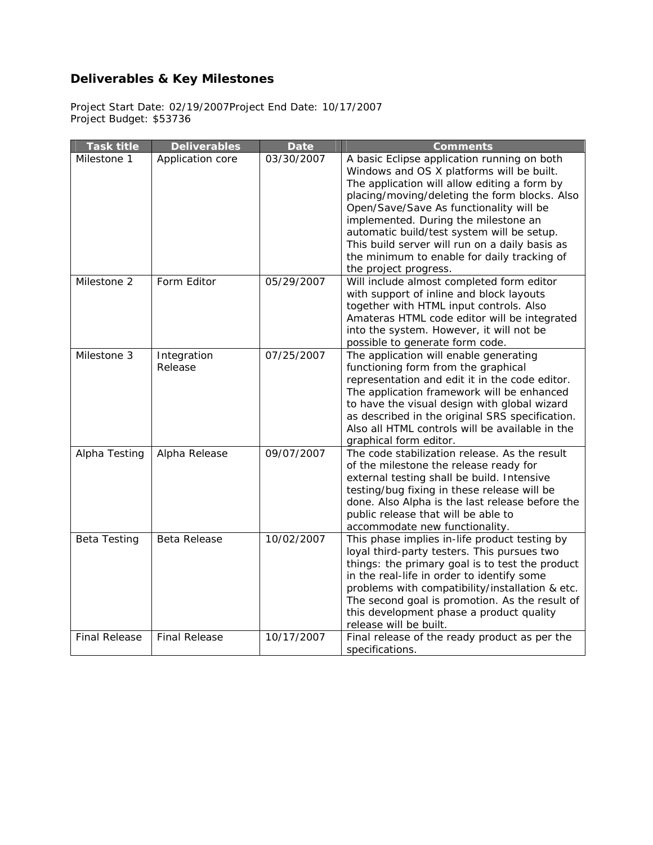# **Deliverables & Key Milestones**

Project Start Date: 02/19/2007Project End Date: 10/17/2007 Project Budget: \$53736

| <b>Task title</b>    | <b>Deliverables</b>    | <b>Date</b> | <b>Comments</b>                                                                                                                                                                                                                                                                                                                                                                                                                                      |
|----------------------|------------------------|-------------|------------------------------------------------------------------------------------------------------------------------------------------------------------------------------------------------------------------------------------------------------------------------------------------------------------------------------------------------------------------------------------------------------------------------------------------------------|
| Milestone 1          | Application core       | 03/30/2007  | A basic Eclipse application running on both<br>Windows and OS X platforms will be built.<br>The application will allow editing a form by<br>placing/moving/deleting the form blocks. Also<br>Open/Save/Save As functionality will be<br>implemented. During the milestone an<br>automatic build/test system will be setup.<br>This build server will run on a daily basis as<br>the minimum to enable for daily tracking of<br>the project progress. |
| Milestone 2          | Form Editor            | 05/29/2007  | Will include almost completed form editor<br>with support of inline and block layouts<br>together with HTML input controls. Also<br>Amateras HTML code editor will be integrated<br>into the system. However, it will not be<br>possible to generate form code.                                                                                                                                                                                      |
| Milestone 3          | Integration<br>Release | 07/25/2007  | The application will enable generating<br>functioning form from the graphical<br>representation and edit it in the code editor.<br>The application framework will be enhanced<br>to have the visual design with global wizard<br>as described in the original SRS specification.<br>Also all HTML controls will be available in the<br>graphical form editor.                                                                                        |
| Alpha Testing        | Alpha Release          | 09/07/2007  | The code stabilization release. As the result<br>of the milestone the release ready for<br>external testing shall be build. Intensive<br>testing/bug fixing in these release will be<br>done. Also Alpha is the last release before the<br>public release that will be able to<br>accommodate new functionality.                                                                                                                                     |
| <b>Beta Testing</b>  | Beta Release           | 10/02/2007  | This phase implies in-life product testing by<br>loyal third-party testers. This pursues two<br>things: the primary goal is to test the product<br>in the real-life in order to identify some<br>problems with compatibility/installation & etc.<br>The second goal is promotion. As the result of<br>this development phase a product quality<br>release will be built.                                                                             |
| <b>Final Release</b> | <b>Final Release</b>   | 10/17/2007  | Final release of the ready product as per the<br>specifications.                                                                                                                                                                                                                                                                                                                                                                                     |